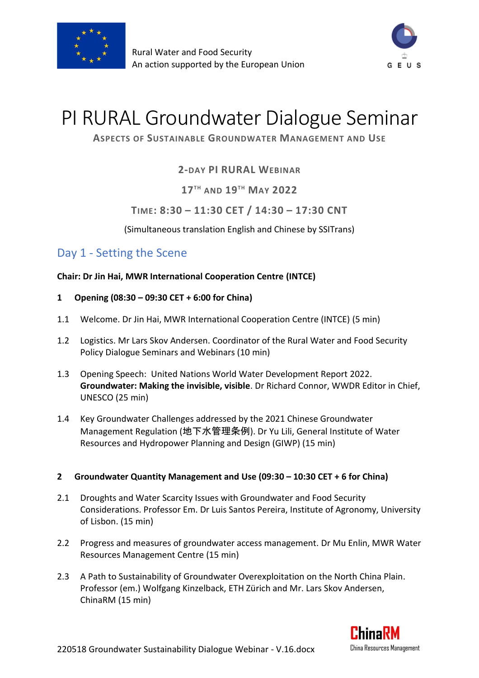



# PI RURAL Groundwater Dialogue Seminar

## **ASPECTS OF SUSTAINABLE GROUNDWATER MANAGEMENT AND USE**

## **2-DAY PI RURAL WEBINAR**

**17TH AND 19TH MAY 2022**

## **TIME: 8:30 – 11:30 CET / 14:30 – 17:30 CNT**

(Simultaneous translation English and Chinese by SSITrans)

# Day 1 - Setting the Scene

### **Chair: Dr Jin Hai, MWR International Cooperation Centre (INTCE)**

- **1 Opening (08:30 – 09:30 CET + 6:00 for China)**
- 1.1 Welcome. Dr Jin Hai, MWR International Cooperation Centre (INTCE) (5 min)
- 1.2 Logistics. Mr Lars Skov Andersen. Coordinator of the Rural Water and Food Security Policy Dialogue Seminars and Webinars (10 min)
- 1.3 Opening Speech: United Nations World Water Development Report 2022. **Groundwater: Making the invisible, visible**. Dr Richard Connor, WWDR Editor in Chief, UNESCO (25 min)
- 1.4 Key Groundwater Challenges addressed by the 2021 Chinese Groundwater Management Regulation (地下水管理条例). Dr Yu Lili, General Institute of Water Resources and Hydropower Planning and Design (GIWP) (15 min)

### **2 Groundwater Quantity Management and Use (09:30 – 10:30 CET + 6 for China)**

- 2.1 Droughts and Water Scarcity Issues with Groundwater and Food Security Considerations. Professor Em. Dr Luis Santos Pereira, Institute of Agronomy, University of Lisbon. (15 min)
- 2.2 Progress and measures of groundwater access management. Dr Mu Enlin, MWR Water Resources Management Centre (15 min)
- 2.3 A Path to Sustainability of Groundwater Overexploitation on the North China Plain. Professor (em.) Wolfgang Kinzelback, ETH Zürich and Mr. Lars Skov Andersen, ChinaRM (15 min)

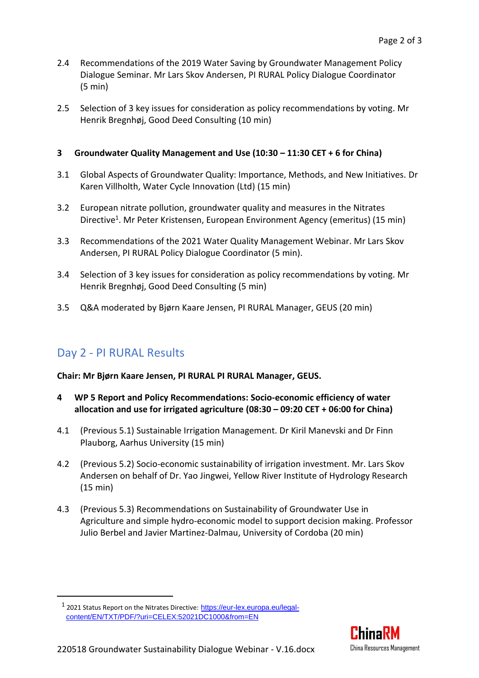- 2.4 Recommendations of the 2019 Water Saving by Groundwater Management Policy Dialogue Seminar. Mr Lars Skov Andersen, PI RURAL Policy Dialogue Coordinator (5 min)
- 2.5 Selection of 3 key issues for consideration as policy recommendations by voting. Mr Henrik Bregnhøj, Good Deed Consulting (10 min)

### **3 Groundwater Quality Management and Use (10:30 – 11:30 CET + 6 for China)**

- 3.1 Global Aspects of Groundwater Quality: Importance, Methods, and New Initiatives. Dr Karen Villholth, Water Cycle Innovation (Ltd) (15 min)
- 3.2 European nitrate pollution, groundwater quality and measures in the Nitrates Directive<sup>1</sup>. Mr Peter Kristensen, European Environment Agency (emeritus) (15 min)
- 3.3 Recommendations of the 2021 Water Quality Management Webinar. Mr Lars Skov Andersen, PI RURAL Policy Dialogue Coordinator (5 min).
- 3.4 Selection of 3 key issues for consideration as policy recommendations by voting. Mr Henrik Bregnhøj, Good Deed Consulting (5 min)
- 3.5 Q&A moderated by Bjørn Kaare Jensen, PI RURAL Manager, GEUS (20 min)

# Day 2 - PI RURAL Results

**Chair: Mr Bjørn Kaare Jensen, PI RURAL PI RURAL Manager, GEUS.**

- **4 WP 5 Report and Policy Recommendations: Socio-economic efficiency of water allocation and use for irrigated agriculture (08:30 – 09:20 CET + 06:00 for China)**
- 4.1 (Previous 5.1) Sustainable Irrigation Management. Dr Kiril Manevski and Dr Finn Plauborg, Aarhus University (15 min)
- 4.2 (Previous 5.2) Socio-economic sustainability of irrigation investment. Mr. Lars Skov Andersen on behalf of Dr. Yao Jingwei, Yellow River Institute of Hydrology Research (15 min)
- 4.3 (Previous 5.3) Recommendations on Sustainability of Groundwater Use in Agriculture and simple hydro-economic model to support decision making. Professor Julio Berbel and Javier Martinez-Dalmau, University of Cordoba (20 min)



<sup>&</sup>lt;sup>1</sup> 2021 Status Report on the Nitrates Directive: [https://eur-lex.europa.eu/legal](https://eur-lex.europa.eu/legal-content/EN/TXT/PDF/?uri=CELEX:52021DC1000&from=EN)[content/EN/TXT/PDF/?uri=CELEX:52021DC1000&from=EN](https://eur-lex.europa.eu/legal-content/EN/TXT/PDF/?uri=CELEX:52021DC1000&from=EN)